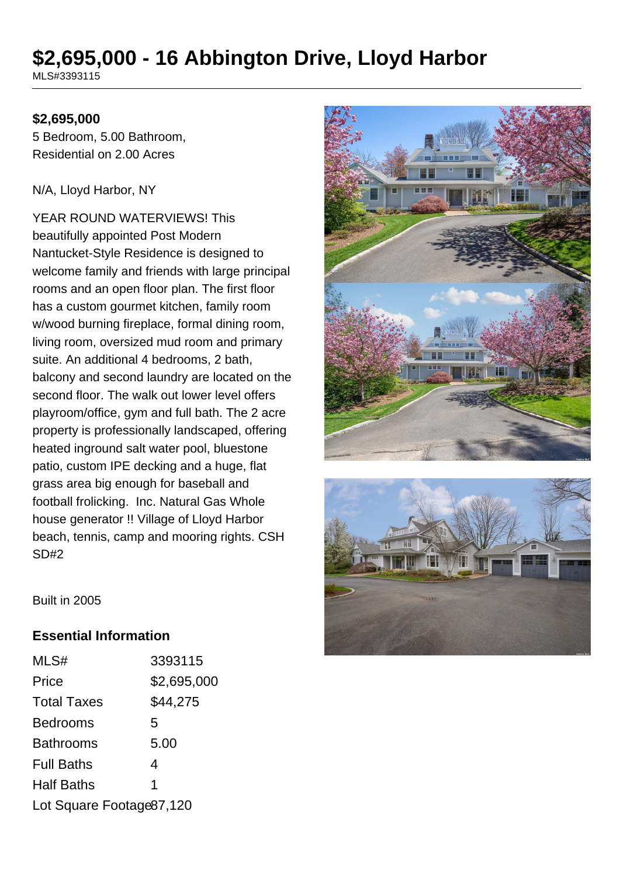# **\$2,695,000 - 16 Abbington Drive, Lloyd Harbor**

MLS#3393115

#### **\$2,695,000**

5 Bedroom, 5.00 Bathroom, Residential on 2.00 Acres

N/A, Lloyd Harbor, NY

YEAR ROUND WATERVIEWS! This beautifully appointed Post Modern Nantucket-Style Residence is designed to welcome family and friends with large principal rooms and an open floor plan. The first floor has a custom gourmet kitchen, family room w/wood burning fireplace, formal dining room, living room, oversized mud room and primary suite. An additional 4 bedrooms, 2 bath, balcony and second laundry are located on the second floor. The walk out lower level offers playroom/office, gym and full bath. The 2 acre property is professionally landscaped, offering heated inground salt water pool, bluestone patio, custom IPE decking and a huge, flat grass area big enough for baseball and football frolicking. Inc. Natural Gas Whole house generator !! Village of Lloyd Harbor beach, tennis, camp and mooring rights. CSH SD#2





Built in 2005

#### **Essential Information**

| MLS#                     | 3393115     |
|--------------------------|-------------|
| Price                    | \$2,695,000 |
| <b>Total Taxes</b>       | \$44,275    |
| <b>Bedrooms</b>          | 5           |
| <b>Bathrooms</b>         | 5.00        |
| <b>Full Baths</b>        | 4           |
| <b>Half Baths</b>        | 1           |
| Lot Square Footage87,120 |             |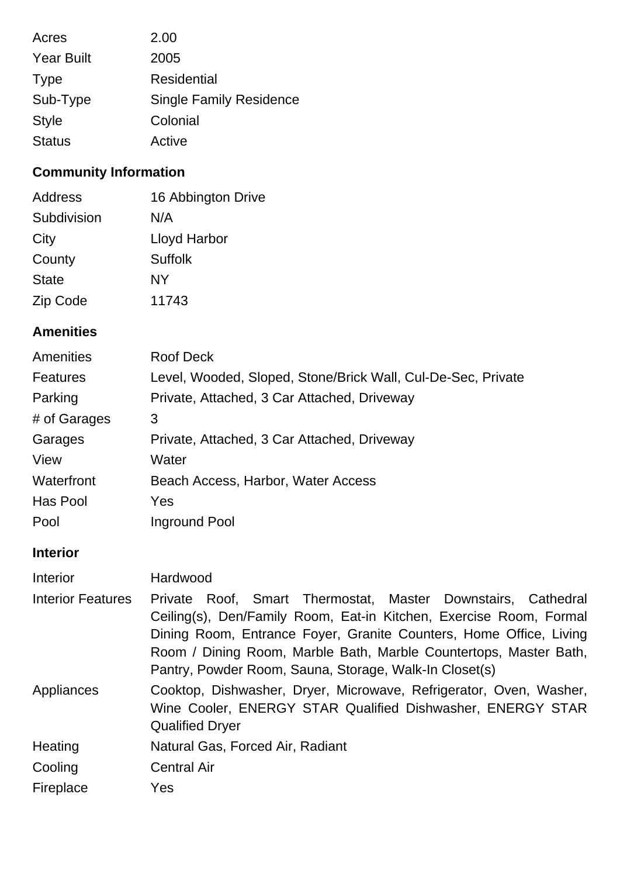| Acres             | 2.00                           |
|-------------------|--------------------------------|
| <b>Year Built</b> | 2005                           |
| <b>Type</b>       | Residential                    |
| Sub-Type          | <b>Single Family Residence</b> |
| <b>Style</b>      | Colonial                       |
| <b>Status</b>     | Active                         |

## **Community Information**

| Address      | 16 Abbington Drive |
|--------------|--------------------|
| Subdivision  | N/A                |
| City         | Lloyd Harbor       |
| County       | <b>Suffolk</b>     |
| <b>State</b> | NY                 |
| Zip Code     | 11743              |

## **Amenities**

| Roof Deck                                                    |
|--------------------------------------------------------------|
| Level, Wooded, Sloped, Stone/Brick Wall, Cul-De-Sec, Private |
| Private, Attached, 3 Car Attached, Driveway                  |
| 3                                                            |
| Private, Attached, 3 Car Attached, Driveway                  |
| Water                                                        |
| Beach Access, Harbor, Water Access                           |
| Yes                                                          |
| Inground Pool                                                |
|                                                              |

## **Interior**

| Interior                 | Hardwood                                                                                                                                                                                                                                                                                                                                |
|--------------------------|-----------------------------------------------------------------------------------------------------------------------------------------------------------------------------------------------------------------------------------------------------------------------------------------------------------------------------------------|
| <b>Interior Features</b> | Private Roof, Smart Thermostat, Master Downstairs, Cathedral<br>Ceiling(s), Den/Family Room, Eat-in Kitchen, Exercise Room, Formal<br>Dining Room, Entrance Foyer, Granite Counters, Home Office, Living<br>Room / Dining Room, Marble Bath, Marble Countertops, Master Bath,<br>Pantry, Powder Room, Sauna, Storage, Walk-In Closet(s) |
| Appliances               | Cooktop, Dishwasher, Dryer, Microwave, Refrigerator, Oven, Washer,<br>Wine Cooler, ENERGY STAR Qualified Dishwasher, ENERGY STAR<br><b>Qualified Dryer</b>                                                                                                                                                                              |
| Heating                  | Natural Gas, Forced Air, Radiant                                                                                                                                                                                                                                                                                                        |
| Cooling                  | <b>Central Air</b>                                                                                                                                                                                                                                                                                                                      |
| Fireplace                | Yes                                                                                                                                                                                                                                                                                                                                     |